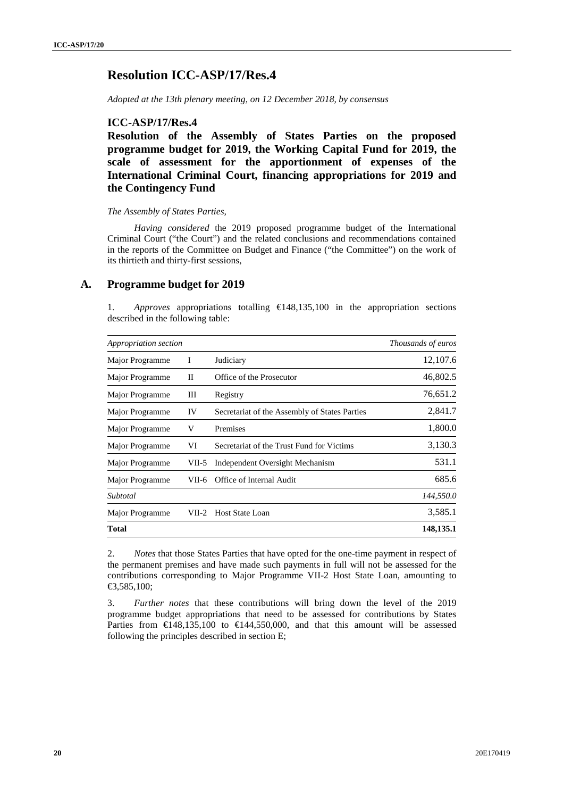# **Resolution ICC-ASP/17/Res.4**

*Adopted at the 13th plenary meeting, on 12 December 2018, by consensus*

### **ICC-ASP/17/Res.4**

**Resolution of the Assembly of States Parties on the proposed programme budget for 2019, the Working Capital Fund for 2019, the scale of assessment for the apportionment of expenses of the International Criminal Court, financing appropriations for 2019 and the Contingency Fund**

#### *The Assembly of States Parties,*

*Having considered* the 2019 proposed programme budget of the International Criminal Court ("the Court") and the related conclusions and recommendations contained in the reports of the Committee on Budget and Finance ("the Committee") on the work of its thirtieth and thirty-first sessions,

### **A. Programme budget for 2019**

1. *Approves* appropriations totalling €148,135,100 in the appropriation sections described in the following table:

| Appropriation section | Thousands of euros |                                               |           |  |  |
|-----------------------|--------------------|-----------------------------------------------|-----------|--|--|
| Major Programme       | I                  | Judiciary                                     | 12,107.6  |  |  |
| Major Programme       | П                  | Office of the Prosecutor                      | 46,802.5  |  |  |
| Major Programme       | Ш                  | Registry                                      | 76,651.2  |  |  |
| Major Programme       | IV                 | Secretariat of the Assembly of States Parties | 2,841.7   |  |  |
| Major Programme       | V                  | Premises                                      | 1,800.0   |  |  |
| Major Programme       | VI                 | Secretariat of the Trust Fund for Victims     | 3,130.3   |  |  |
| Major Programme       | VII-5              | Independent Oversight Mechanism               | 531.1     |  |  |
| Major Programme       | VII-6              | Office of Internal Audit                      | 685.6     |  |  |
| Subtotal              |                    |                                               | 144,550.0 |  |  |
| Major Programme       | VII-2              | <b>Host State Loan</b>                        | 3,585.1   |  |  |
| Total                 |                    |                                               | 148,135.1 |  |  |

2. *Notes* that those States Parties that have opted for the one-time payment in respect of the permanent premises and have made such payments in full will not be assessed for the contributions corresponding to Major Programme VII-2 Host State Loan, amounting to €3,585,100;

3. *Further notes* that these contributions will bring down the level of the 2019 programme budget appropriations that need to be assessed for contributions by States Parties from  $\in$ 148,135,100 to  $\in$ 144,550,000, and that this amount will be assessed following the principles described in section E;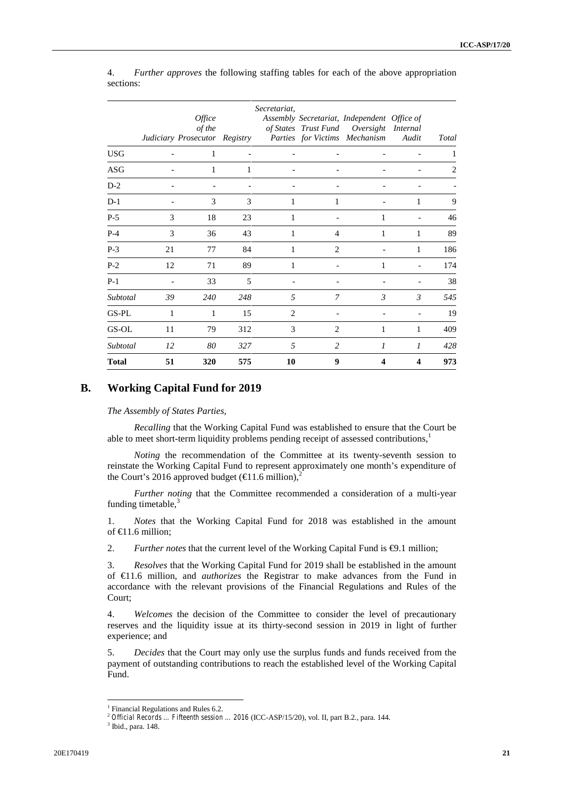|              |    | Office<br>of the<br>Judiciary Prosecutor Registry |     | Secretariat,   |                | Assembly Secretariat, Independent Office of<br>of States Trust Fund Oversight Internal<br>Parties for Victims Mechanism | Audit          | Total |
|--------------|----|---------------------------------------------------|-----|----------------|----------------|-------------------------------------------------------------------------------------------------------------------------|----------------|-------|
| <b>USG</b>   |    | 1                                                 |     |                |                |                                                                                                                         |                | 1     |
| ASG          |    | 1                                                 | 1   |                |                |                                                                                                                         |                | 2     |
| $D-2$        |    |                                                   |     |                |                |                                                                                                                         |                |       |
| $D-1$        |    | 3                                                 | 3   | 1              | 1              |                                                                                                                         | 1              | 9     |
| $P-5$        | 3  | 18                                                | 23  | 1              |                | 1                                                                                                                       |                | 46    |
| $P-4$        | 3  | 36                                                | 43  | 1              | $\overline{4}$ | 1                                                                                                                       | 1              | 89    |
| $P-3$        | 21 | 77                                                | 84  | 1              | 2              |                                                                                                                         | 1              | 186   |
| $P-2$        | 12 | 71                                                | 89  | 1              |                | 1                                                                                                                       |                | 174   |
| $P-1$        |    | 33                                                | 5   |                |                |                                                                                                                         |                | 38    |
| Subtotal     | 39 | 240                                               | 248 | 5              | $\overline{7}$ | $\mathfrak{Z}$                                                                                                          | $\mathfrak{Z}$ | 545   |
| GS-PL        | 1  | 1                                                 | 15  | $\overline{2}$ |                |                                                                                                                         |                | 19    |
| GS-OL        | 11 | 79                                                | 312 | 3              | 2              | 1                                                                                                                       | 1              | 409   |
| Subtotal     | 12 | 80                                                | 327 | 5              | $\overline{c}$ | 1                                                                                                                       | 1              | 428   |
| <b>Total</b> | 51 | 320                                               | 575 | 10             | 9              | 4                                                                                                                       | 4              | 973   |

4. *Further approves* the following staffing tables for each of the above appropriation sections:

# **B. Working Capital Fund for 2019**

*The Assembly of States Parties,*

*Recalling* that the Working Capital Fund was established to ensure that the Court be able to meet short-term liquidity problems pending receipt of assessed contributions,<sup>1</sup>

*Noting* the recommendation of the Committee at its twenty-seventh session to reinstate the Working Capital Fund to represent approximately one month's expenditure of the Court's 2016 approved budget ( $\in$ 1.6 million),<sup>2</sup>

*Further noting* that the Committee recommended a consideration of a multi-year funding timetable, $3$ 

1. *Notes* that the Working Capital Fund for 2018 was established in the amount of €11.6 million;

2. *Further notes* that the current level of the Working Capital Fund is  $\Theta$ .1 million;

3. *Resolves* that the Working Capital Fund for 2019 shall be established in the amount of €11.6 million, and *authorizes* the Registrar to make advances from the Fund in accordance with the relevant provisions of the Financial Regulations and Rules of the Court;

4. *Welcomes* the decision of the Committee to consider the level of precautionary reserves and the liquidity issue at its thirty-second session in 2019 in light of further experience; and

5. *Decides* that the Court may only use the surplus funds and funds received from the payment of outstanding contributions to reach the established level of the Working Capital Fund.

<sup>&</sup>lt;sup>1</sup> Financial Regulations and Rules 6.2.

 $^2$  *Official Records … Fifteenth session …* 2016 (ICC-ASP/15/20), vol. II, part B.2., para. 144.  $^3$  Ibid., para. 148.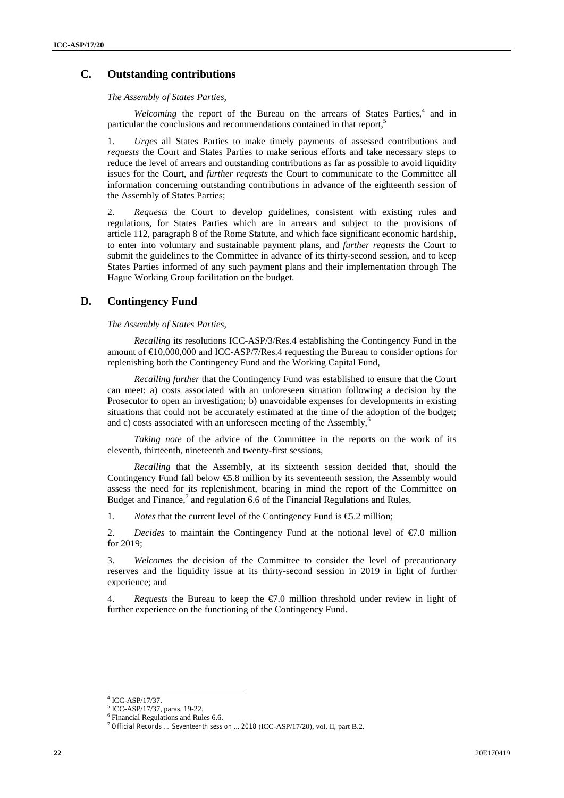# **C. Outstanding contributions**

*The Assembly of States Parties,*

*Welcoming* the report of the Bureau on the arrears of States Parties,<sup>4</sup> and in particular the conclusions and recommendations contained in that report,<sup>5</sup>

1. *Urges* all States Parties to make timely payments of assessed contributions and *requests* the Court and States Parties to make serious efforts and take necessary steps to reduce the level of arrears and outstanding contributions as far as possible to avoid liquidity issues for the Court, and *further requests* the Court to communicate to the Committee all information concerning outstanding contributions in advance of the eighteenth session of the Assembly of States Parties;

2. *Requests* the Court to develop guidelines, consistent with existing rules and regulations, for States Parties which are in arrears and subject to the provisions of article 112, paragraph 8 of the Rome Statute, and which face significant economic hardship, to enter into voluntary and sustainable payment plans, and *further requests* the Court to submit the guidelines to the Committee in advance of its thirty-second session, and to keep States Parties informed of any such payment plans and their implementation through The Hague Working Group facilitation on the budget.

### **D. Contingency Fund**

*The Assembly of States Parties,*

*Recalling* its resolutions ICC-ASP/3/Res.4 establishing the Contingency Fund in the amount of  $\epsilon 0,000,000$  and ICC-ASP/7/Res.4 requesting the Bureau to consider options for replenishing both the Contingency Fund and the Working Capital Fund,

*Recalling further* that the Contingency Fund was established to ensure that the Court can meet: a) costs associated with an unforeseen situation following a decision by the Prosecutor to open an investigation; b) unavoidable expenses for developments in existing situations that could not be accurately estimated at the time of the adoption of the budget; and c) costs associated with an unforeseen meeting of the Assembly, $<sup>6</sup>$ </sup>

*Taking note* of the advice of the Committee in the reports on the work of its eleventh, thirteenth, nineteenth and twenty-first sessions,

*Recalling* that the Assembly, at its sixteenth session decided that, should the Contingency Fund fall below €5.8 million by its seventeenth session, the Assembly would assess the need for its replenishment, bearing in mind the report of the Committee on Budget and Finance, $^7$  and regulation 6.6 of the Financial Regulations and Rules,

1. *Notes* that the current level of the Contingency Fund is  $\epsilon$ . 2 million;

2. *Decides* to maintain the Contingency Fund at the notional level of  $\epsilon$ 7.0 million for 2019;

3. *Welcomes* the decision of the Committee to consider the level of precautionary reserves and the liquidity issue at its thirty-second session in 2019 in light of further experience; and

4. *Requests* the Bureau to keep the  $\epsilon$ . 0 million threshold under review in light of further experience on the functioning of the Contingency Fund.

ICC-ASP/17/37.

<sup>5</sup> ICC-ASP/17/37, paras. 19-22.

<sup>6</sup> Financial Regulations and Rules 6.6. <sup>7</sup> *Official Records … Seventeenth session ... 2018* (ICC-ASP/17/20), vol. II, part B.2.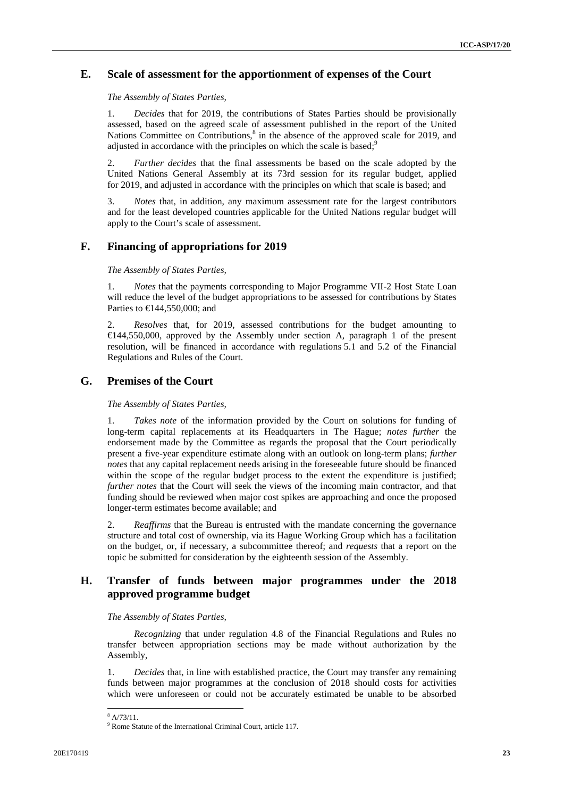# **E. Scale of assessment for the apportionment of expenses of the Court**

*The Assembly of States Parties,*

1. *Decides* that for 2019, the contributions of States Parties should be provisionally assessed, based on the agreed scale of assessment published in the report of the United Nations Committee on Contributions,<sup>8</sup> in the absence of the approved scale for 2019, and adjusted in accordance with the principles on which the scale is based; $\frac{9}{2}$ 

2. *Further decides* that the final assessments be based on the scale adopted by the United Nations General Assembly at its 73rd session for its regular budget, applied for 2019, and adjusted in accordance with the principles on which that scale is based; and

3. *Notes* that, in addition, any maximum assessment rate for the largest contributors and for the least developed countries applicable for the United Nations regular budget will apply to the Court's scale of assessment.

# **F. Financing of appropriations for 2019**

*The Assembly of States Parties,*

1. *Notes* that the payments corresponding to Major Programme VII-2 Host State Loan will reduce the level of the budget appropriations to be assessed for contributions by States Parties to €144,550,000; and

2. *Resolves* that, for 2019, assessed contributions for the budget amounting to €144,550,000, approved by the Assembly under section A, paragraph 1 of the present resolution, will be financed in accordance with regulations 5.1 and 5.2 of the Financial Regulations and Rules of the Court.

# **G. Premises of the Court**

*The Assembly of States Parties,*

1. *Takes note* of the information provided by the Court on solutions for funding of long-term capital replacements at its Headquarters in The Hague; *notes further* the endorsement made by the Committee as regards the proposal that the Court periodically present a five-year expenditure estimate along with an outlook on long-term plans; *further notes* that any capital replacement needs arising in the foreseeable future should be financed within the scope of the regular budget process to the extent the expenditure is justified; *further notes* that the Court will seek the views of the incoming main contractor, and that funding should be reviewed when major cost spikes are approaching and once the proposed longer-term estimates become available; and

2. *Reaffirms* that the Bureau is entrusted with the mandate concerning the governance structure and total cost of ownership, via its Hague Working Group which has a facilitation on the budget, or, if necessary, a subcommittee thereof; and *requests* that a report on the topic be submitted for consideration by the eighteenth session of the Assembly.

# **H. Transfer of funds between major programmes under the 2018 approved programme budget**

#### *The Assembly of States Parties,*

*Recognizing* that under regulation 4.8 of the Financial Regulations and Rules no transfer between appropriation sections may be made without authorization by the Assembly,

1. *Decides* that, in line with established practice, the Court may transfer any remaining funds between major programmes at the conclusion of 2018 should costs for activities which were unforeseen or could not be accurately estimated be unable to be absorbed

 $\frac{8}{9}$  R/73/11.<br><sup>9</sup> Rome Statute of the International Criminal Court, article 117.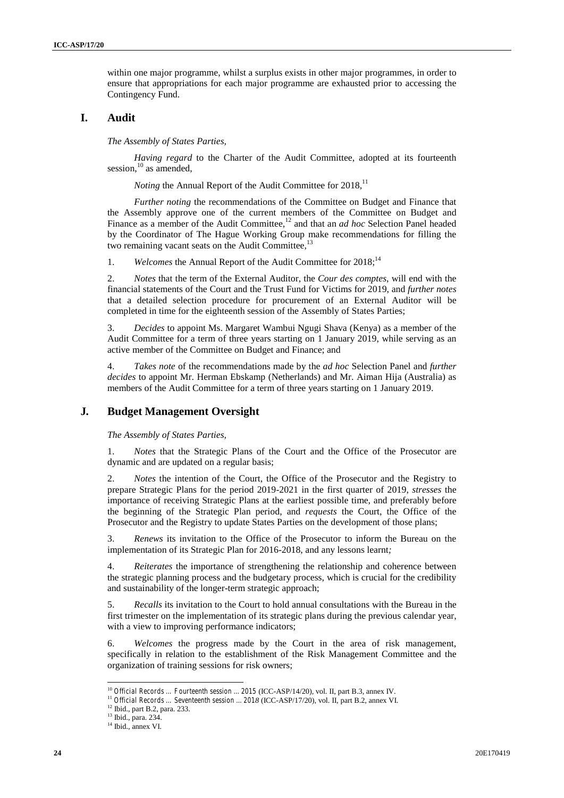within one major programme, whilst a surplus exists in other major programmes, in order to ensure that appropriations for each major programme are exhausted prior to accessing the Contingency Fund.

# **I. Audit**

*The Assembly of States Parties,*

*Having regard* to the Charter of the Audit Committee, adopted at its fourteenth session, $^{10}$  as amended,

*Noting* the Annual Report of the Audit Committee for 2018,<sup>11</sup>

*Further noting* the recommendations of the Committee on Budget and Finance that the Assembly approve one of the current members of the Committee on Budget and Finance as a member of the Audit Committee,<sup>12</sup> and that an *ad hoc* Selection Panel headed by the Coordinator of The Hague Working Group make recommendations for filling the two remaining vacant seats on the Audit Committee,<sup>13</sup>

1. *Welcomes* the Annual Report of the Audit Committee for 2018;<sup>14</sup>

2. *Notes* that the term of the External Auditor, the *Cour des comptes*, will end with the financial statements of the Court and the Trust Fund for Victims for 2019, and *further notes* that a detailed selection procedure for procurement of an External Auditor will be completed in time for the eighteenth session of the Assembly of States Parties;

3. *Decides* to appoint Ms. Margaret Wambui Ngugi Shava (Kenya) as a member of the Audit Committee for a term of three years starting on 1 January 2019, while serving as an active member of the Committee on Budget and Finance; and

4. *Takes note* of the recommendations made by the *ad hoc* Selection Panel and *further decides* to appoint Mr. Herman Ebskamp (Netherlands) and Mr. Aiman Hija (Australia) as members of the Audit Committee for a term of three years starting on 1 January 2019.

# **J***.* **Budget Management Oversight**

*The Assembly of States Parties,*

1. *Notes* that the Strategic Plans of the Court and the Office of the Prosecutor are dynamic and are updated on a regular basis;

2. *Notes* the intention of the Court, the Office of the Prosecutor and the Registry to prepare Strategic Plans for the period 2019-2021 in the first quarter of 2019, *stresses* the importance of receiving Strategic Plans at the earliest possible time, and preferably before the beginning of the Strategic Plan period, and *requests* the Court, the Office of the Prosecutor and the Registry to update States Parties on the development of those plans;

3. *Renews* its invitation to the Office of the Prosecutor to inform the Bureau on the implementation of its Strategic Plan for 2016-2018, and any lessons learnt*;*

*Reiterates* the importance of strengthening the relationship and coherence between the strategic planning process and the budgetary process, which is crucial for the credibility and sustainability of the longer-term strategic approach;

5. *Recalls* its invitation to the Court to hold annual consultations with the Bureau in the first trimester on the implementation of its strategic plans during the previous calendar year, with a view to improving performance indicators;

6. *Welcomes* the progress made by the Court in the area of risk management, specifically in relation to the establishment of the Risk Management Committee and the organization of training sessions for risk owners;

<sup>&</sup>lt;sup>10</sup> Official Records ... Fourteenth session ... 2015 (ICC-ASP/14/20), vol. II, part B.3, annex IV.<br><sup>11</sup> Official Records ... Seventeenth session ... 2018 (ICC-ASP/17/20), vol. II, part B.2, annex VI.<br><sup>12</sup> Ibid., part B.2

 $14$  Ibid., annex VI.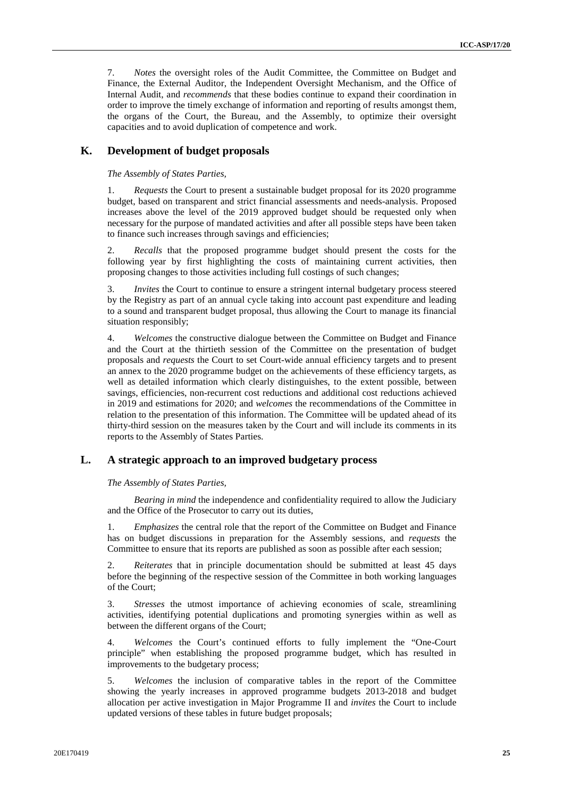7. *Notes* the oversight roles of the Audit Committee, the Committee on Budget and Finance, the External Auditor, the Independent Oversight Mechanism, and the Office of Internal Audit, and *recommends* that these bodies continue to expand their coordination in order to improve the timely exchange of information and reporting of results amongst them, the organs of the Court, the Bureau, and the Assembly, to optimize their oversight capacities and to avoid duplication of competence and work.

# **K. Development of budget proposals**

*The Assembly of States Parties,*

1. *Requests* the Court to present a sustainable budget proposal for its 2020 programme budget, based on transparent and strict financial assessments and needs-analysis. Proposed increases above the level of the 2019 approved budget should be requested only when necessary for the purpose of mandated activities and after all possible steps have been taken to finance such increases through savings and efficiencies;

2. *Recalls* that the proposed programme budget should present the costs for the following year by first highlighting the costs of maintaining current activities, then proposing changes to those activities including full costings of such changes;

3. *Invites* the Court to continue to ensure a stringent internal budgetary process steered by the Registry as part of an annual cycle taking into account past expenditure and leading to a sound and transparent budget proposal, thus allowing the Court to manage its financial situation responsibly;

4. *Welcomes* the constructive dialogue between the Committee on Budget and Finance and the Court at the thirtieth session of the Committee on the presentation of budget proposals and *requests* the Court to set Court-wide annual efficiency targets and to present an annex to the 2020 programme budget on the achievements of these efficiency targets, as well as detailed information which clearly distinguishes, to the extent possible, between savings, efficiencies, non-recurrent cost reductions and additional cost reductions achieved in 2019 and estimations for 2020; and *welcomes* the recommendations of the Committee in relation to the presentation of this information. The Committee will be updated ahead of its thirty-third session on the measures taken by the Court and will include its comments in its reports to the Assembly of States Parties.

# **L. A strategic approach to an improved budgetary process**

*The Assembly of States Parties,*

*Bearing in mind* the independence and confidentiality required to allow the Judiciary and the Office of the Prosecutor to carry out its duties,

1. *Emphasizes* the central role that the report of the Committee on Budget and Finance has on budget discussions in preparation for the Assembly sessions, and *requests* the Committee to ensure that its reports are published as soon as possible after each session;

2. *Reiterates* that in principle documentation should be submitted at least 45 days before the beginning of the respective session of the Committee in both working languages of the Court;

3. *Stresses* the utmost importance of achieving economies of scale, streamlining activities, identifying potential duplications and promoting synergies within as well as between the different organs of the Court;

4. *Welcomes* the Court's continued efforts to fully implement the "One-Court principle" when establishing the proposed programme budget, which has resulted in improvements to the budgetary process;

5. *Welcomes* the inclusion of comparative tables in the report of the Committee showing the yearly increases in approved programme budgets 2013-2018 and budget allocation per active investigation in Major Programme II and *invites* the Court to include updated versions of these tables in future budget proposals;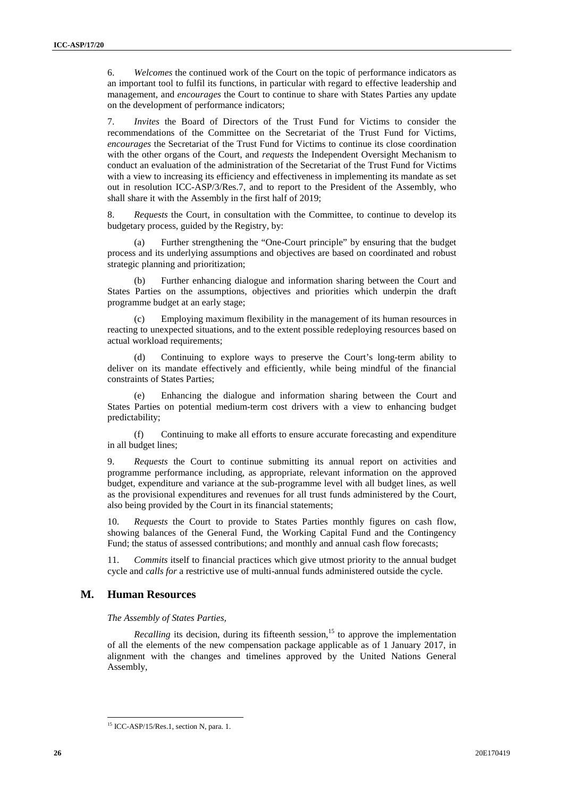6. *Welcomes* the continued work of the Court on the topic of performance indicators as an important tool to fulfil its functions, in particular with regard to effective leadership and management, and *encourages* the Court to continue to share with States Parties any update on the development of performance indicators;

7. *Invites* the Board of Directors of the Trust Fund for Victims to consider the recommendations of the Committee on the Secretariat of the Trust Fund for Victims, *encourages* the Secretariat of the Trust Fund for Victims to continue its close coordination with the other organs of the Court, and *requests* the Independent Oversight Mechanism to conduct an evaluation of the administration of the Secretariat of the Trust Fund for Victims with a view to increasing its efficiency and effectiveness in implementing its mandate as set out in resolution ICC-ASP/3/Res.7, and to report to the President of the Assembly, who shall share it with the Assembly in the first half of 2019;

8. *Requests* the Court, in consultation with the Committee, to continue to develop its budgetary process, guided by the Registry, by:

(a) Further strengthening the "One-Court principle" by ensuring that the budget process and its underlying assumptions and objectives are based on coordinated and robust strategic planning and prioritization;

(b) Further enhancing dialogue and information sharing between the Court and States Parties on the assumptions, objectives and priorities which underpin the draft programme budget at an early stage;

Employing maximum flexibility in the management of its human resources in reacting to unexpected situations, and to the extent possible redeploying resources based on actual workload requirements;

(d) Continuing to explore ways to preserve the Court's long-term ability to deliver on its mandate effectively and efficiently, while being mindful of the financial constraints of States Parties;

(e) Enhancing the dialogue and information sharing between the Court and States Parties on potential medium-term cost drivers with a view to enhancing budget predictability;

(f) Continuing to make all efforts to ensure accurate forecasting and expenditure in all budget lines;

9. *Requests* the Court to continue submitting its annual report on activities and programme performance including, as appropriate, relevant information on the approved budget, expenditure and variance at the sub-programme level with all budget lines, as well as the provisional expenditures and revenues for all trust funds administered by the Court, also being provided by the Court in its financial statements;

10. *Requests* the Court to provide to States Parties monthly figures on cash flow, showing balances of the General Fund, the Working Capital Fund and the Contingency Fund; the status of assessed contributions; and monthly and annual cash flow forecasts;

11. *Commits* itself to financial practices which give utmost priority to the annual budget cycle and *calls for* a restrictive use of multi-annual funds administered outside the cycle.

#### **M. Human Resources**

*The Assembly of States Parties,*

*Recalling* its decision, during its fifteenth session,<sup>15</sup> to approve the implementation of all the elements of the new compensation package applicable as of 1 January 2017, in alignment with the changes and timelines approved by the United Nations General Assembly,

<sup>&</sup>lt;sup>15</sup> ICC-ASP/15/Res.1, section N, para. 1.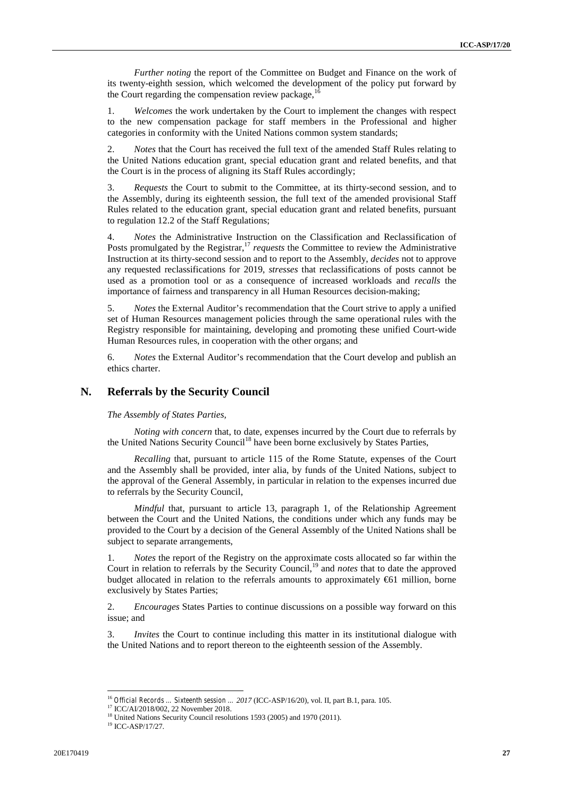*Further noting* the report of the Committee on Budget and Finance on the work of its twenty-eighth session, which welcomed the development of the policy put forward by the Court regarding the compensation review package, $\frac{1}{6}$ 

1. *Welcomes* the work undertaken by the Court to implement the changes with respect to the new compensation package for staff members in the Professional and higher categories in conformity with the United Nations common system standards;

2. *Notes* that the Court has received the full text of the amended Staff Rules relating to the United Nations education grant, special education grant and related benefits, and that the Court is in the process of aligning its Staff Rules accordingly;

3. *Requests* the Court to submit to the Committee, at its thirty-second session, and to the Assembly, during its eighteenth session, the full text of the amended provisional Staff Rules related to the education grant, special education grant and related benefits, pursuant to regulation 12.2 of the Staff Regulations;

4. *Notes* the Administrative Instruction on the Classification and Reclassification of Posts promulgated by the Registrar,<sup>17</sup> *requests* the Committee to review the Administrative Instruction at its thirty-second session and to report to the Assembly, *decides* not to approve any requested reclassifications for 2019, *stresses* that reclassifications of posts cannot be used as a promotion tool or as a consequence of increased workloads and *recalls* the importance of fairness and transparency in all Human Resources decision-making;

5. *Notes* the External Auditor's recommendation that the Court strive to apply a unified set of Human Resources management policies through the same operational rules with the Registry responsible for maintaining, developing and promoting these unified Court-wide Human Resources rules, in cooperation with the other organs; and

6. *Notes* the External Auditor's recommendation that the Court develop and publish an ethics charter.

### **N. Referrals by the Security Council**

*The Assembly of States Parties,*

*Noting with concern* that, to date, expenses incurred by the Court due to referrals by the United Nations Security Council<sup>18</sup> have been borne exclusively by States Parties,

*Recalling* that, pursuant to article 115 of the Rome Statute, expenses of the Court and the Assembly shall be provided, inter alia, by funds of the United Nations, subject to the approval of the General Assembly, in particular in relation to the expenses incurred due to referrals by the Security Council,

*Mindful* that, pursuant to article 13, paragraph 1, of the Relationship Agreement between the Court and the United Nations, the conditions under which any funds may be provided to the Court by a decision of the General Assembly of the United Nations shall be subject to separate arrangements,

1. *Notes* the report of the Registry on the approximate costs allocated so far within the Court in relation to referrals by the Security Council,<sup>19</sup> and *notes* that to date the approved budget allocated in relation to the referrals amounts to approximately  $\bigoplus$  million, borne exclusively by States Parties;

2. *Encourages* States Parties to continue discussions on a possible way forward on this issue; and

3. *Invites* the Court to continue including this matter in its institutional dialogue with the United Nations and to report thereon to the eighteenth session of the Assembly.

<sup>&</sup>lt;sup>16</sup> *Official Records … Sixteenth session … 2017* (ICC-ASP/16/20), vol. II, part B.1, para. 105. <sup>17</sup> ICC/AI/2018/002, 22 November 2018.

<sup>&</sup>lt;sup>18</sup> United Nations Security Council resolutions 1593 (2005) and 1970 (2011).<br><sup>19</sup> ICC-ASP/17/27.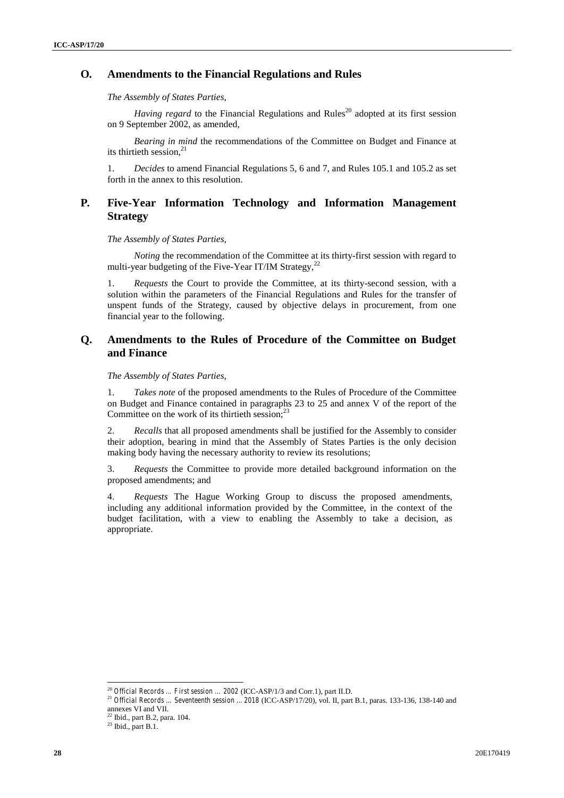# **O***.* **Amendments to the Financial Regulations and Rules**

*The Assembly of States Parties,*

*Having regard* to the Financial Regulations and Rules<sup>20</sup> adopted at its first session on 9 September 2002, as amended,

*Bearing in mind* the recommendations of the Committee on Budget and Finance at its thirtieth session. $^{21}$ 

1. *Decides* to amend Financial Regulations 5, 6 and 7, and Rules 105.1 and 105.2 as set forth in the annex to this resolution.

# **P***.* **Five-Year Information Technology and Information Management Strategy**

*The Assembly of States Parties,*

*Noting* the recommendation of the Committee at its thirty-first session with regard to multi-year budgeting of the Five-Year IT/IM Strategy,  $^{22}$ 

1. *Requests* the Court to provide the Committee, at its thirty-second session, with a solution within the parameters of the Financial Regulations and Rules for the transfer of unspent funds of the Strategy, caused by objective delays in procurement, from one financial year to the following.

# **Q. Amendments to the Rules of Procedure of the Committee on Budget and Finance**

*The Assembly of States Parties,*

1. *Takes note* of the proposed amendments to the Rules of Procedure of the Committee on Budget and Finance contained in paragraphs 23 to 25 and annex V of the report of the Committee on the work of its thirtieth session; $^{23}$ 

2. *Recalls* that all proposed amendments shall be justified for the Assembly to consider their adoption, bearing in mind that the Assembly of States Parties is the only decision making body having the necessary authority to review its resolutions;

3. *Requests* the Committee to provide more detailed background information on the proposed amendments; and

4. *Requests* The Hague Working Group to discuss the proposed amendments, including any additional information provided by the Committee, in the context of the budget facilitation, with a view to enabling the Assembly to take a decision, as appropriate.

<sup>20</sup> *Official Records … First session … 2002* (ICC-ASP/1/3 and Corr.1), part II.D. <sup>21</sup> *Official Records … Seventeenth session ... 2018* (ICC-ASP/17/20), vol. II, part B.1, paras. 133-136, 138-140 and annexes VI and VII.

 $^{22}$  Ibid., part B.2, para. 104.<br> $^{23}$  Ibid., part B.1.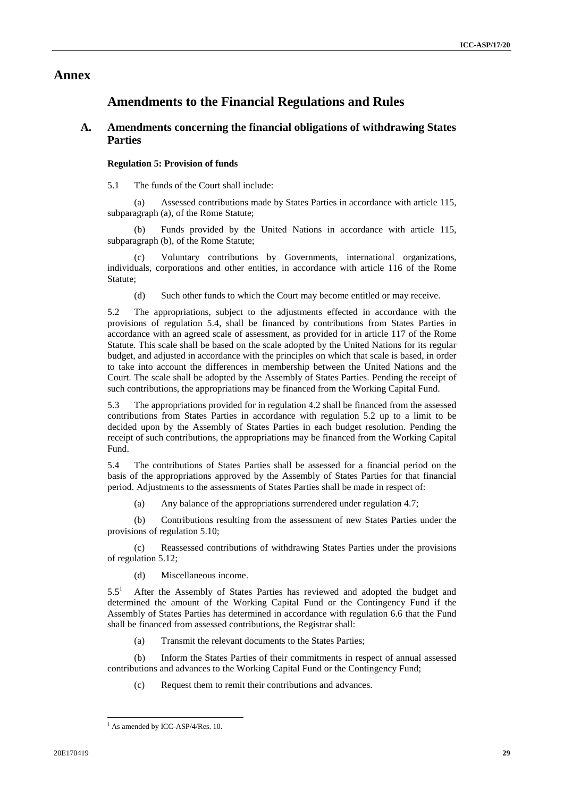# **Annex**

# **Amendments to the Financial Regulations and Rules**

# **A. Amendments concerning the financial obligations of withdrawing States Parties**

#### **Regulation 5: Provision of funds**

5.1 The funds of the Court shall include:

(a) Assessed contributions made by States Parties in accordance with article 115, subparagraph (a), of the Rome Statute;

(b) Funds provided by the United Nations in accordance with article 115, subparagraph (b), of the Rome Statute;

(c) Voluntary contributions by Governments, international organizations, individuals, corporations and other entities, in accordance with article 116 of the Rome Statute;

(d) Such other funds to which the Court may become entitled or may receive.

5.2 The appropriations, subject to the adjustments effected in accordance with the provisions of regulation 5.4, shall be financed by contributions from States Parties in accordance with an agreed scale of assessment, as provided for in article 117 of the Rome Statute. This scale shall be based on the scale adopted by the United Nations for its regular budget, and adjusted in accordance with the principles on which that scale is based, in order to take into account the differences in membership between the United Nations and the Court. The scale shall be adopted by the Assembly of States Parties. Pending the receipt of such contributions, the appropriations may be financed from the Working Capital Fund.

5.3 The appropriations provided for in regulation 4.2 shall be financed from the assessed contributions from States Parties in accordance with regulation 5.2 up to a limit to be decided upon by the Assembly of States Parties in each budget resolution. Pending the receipt of such contributions, the appropriations may be financed from the Working Capital Fund.

5.4 The contributions of States Parties shall be assessed for a financial period on the basis of the appropriations approved by the Assembly of States Parties for that financial period. Adjustments to the assessments of States Parties shall be made in respect of:

(a) Any balance of the appropriations surrendered under regulation 4.7;

(b) Contributions resulting from the assessment of new States Parties under the provisions of regulation 5.10;

Reassessed contributions of withdrawing States Parties under the provisions of regulation 5.12;

(d) Miscellaneous income.

 $5.5<sup>1</sup>$  After the Assembly of States Parties has reviewed and adopted the budget and determined the amount of the Working Capital Fund or the Contingency Fund if the Assembly of States Parties has determined in accordance with regulation 6.6 that the Fund shall be financed from assessed contributions, the Registrar shall:

(a) Transmit the relevant documents to the States Parties;

(b) Inform the States Parties of their commitments in respect of annual assessed contributions and advances to the Working Capital Fund or the Contingency Fund;

(c) Request them to remit their contributions and advances.

 $<sup>1</sup>$  As amended by ICC-ASP/4/Res. 10.</sup>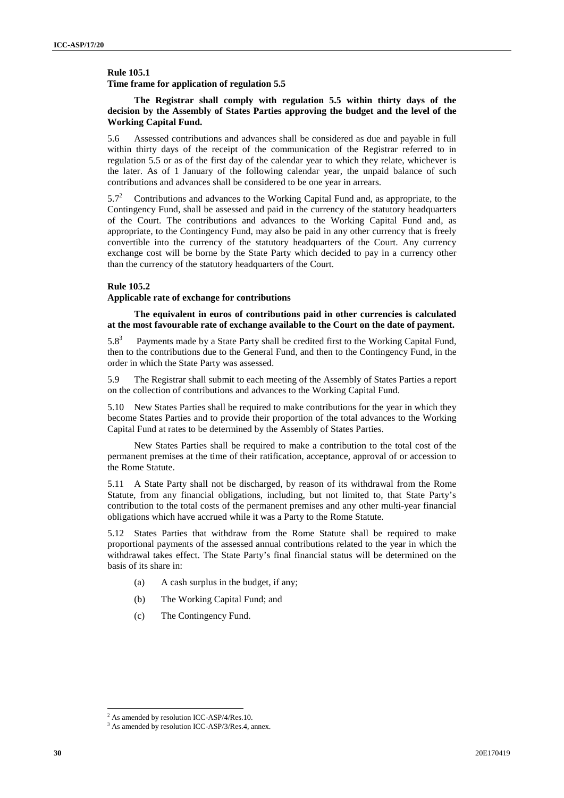**Rule 105.1**

**Time frame for application of regulation 5.5**

#### **The Registrar shall comply with regulation 5.5 within thirty days of the decision by the Assembly of States Parties approving the budget and the level of the Working Capital Fund.**

5.6 Assessed contributions and advances shall be considered as due and payable in full within thirty days of the receipt of the communication of the Registrar referred to in regulation 5.5 or as of the first day of the calendar year to which they relate, whichever is the later. As of 1 January of the following calendar year, the unpaid balance of such contributions and advances shall be considered to be one year in arrears.

 $5.7<sup>2</sup>$  Contributions and advances to the Working Capital Fund and, as appropriate, to the Contingency Fund, shall be assessed and paid in the currency of the statutory headquarters of the Court. The contributions and advances to the Working Capital Fund and, as appropriate, to the Contingency Fund, may also be paid in any other currency that is freely convertible into the currency of the statutory headquarters of the Court. Any currency exchange cost will be borne by the State Party which decided to pay in a currency other than the currency of the statutory headquarters of the Court.

### **Rule 105.2**

#### **Applicable rate of exchange for contributions**

**The equivalent in euros of contributions paid in other currencies is calculated at the most favourable rate of exchange available to the Court on the date of payment.**

 $5.8<sup>3</sup>$  Payments made by a State Party shall be credited first to the Working Capital Fund, then to the contributions due to the General Fund, and then to the Contingency Fund, in the order in which the State Party was assessed.

5.9 The Registrar shall submit to each meeting of the Assembly of States Parties a report on the collection of contributions and advances to the Working Capital Fund.

5.10 New States Parties shall be required to make contributions for the year in which they become States Parties and to provide their proportion of the total advances to the Working Capital Fund at rates to be determined by the Assembly of States Parties.

New States Parties shall be required to make a contribution to the total cost of the permanent premises at the time of their ratification, acceptance, approval of or accession to the Rome Statute.

5.11 A State Party shall not be discharged, by reason of its withdrawal from the Rome Statute, from any financial obligations, including, but not limited to, that State Party's contribution to the total costs of the permanent premises and any other multi-year financial obligations which have accrued while it was a Party to the Rome Statute.

5.12 States Parties that withdraw from the Rome Statute shall be required to make proportional payments of the assessed annual contributions related to the year in which the withdrawal takes effect. The State Party's final financial status will be determined on the basis of its share in:

- (a) A cash surplus in the budget, if any;
- (b) The Working Capital Fund; and
- (c) The Contingency Fund.

<sup>&</sup>lt;sup>2</sup> As amended by resolution ICC-ASP/4/Res.10.  $3^3$  As amended by resolution ICC-ASP/3/Res.4, annex.